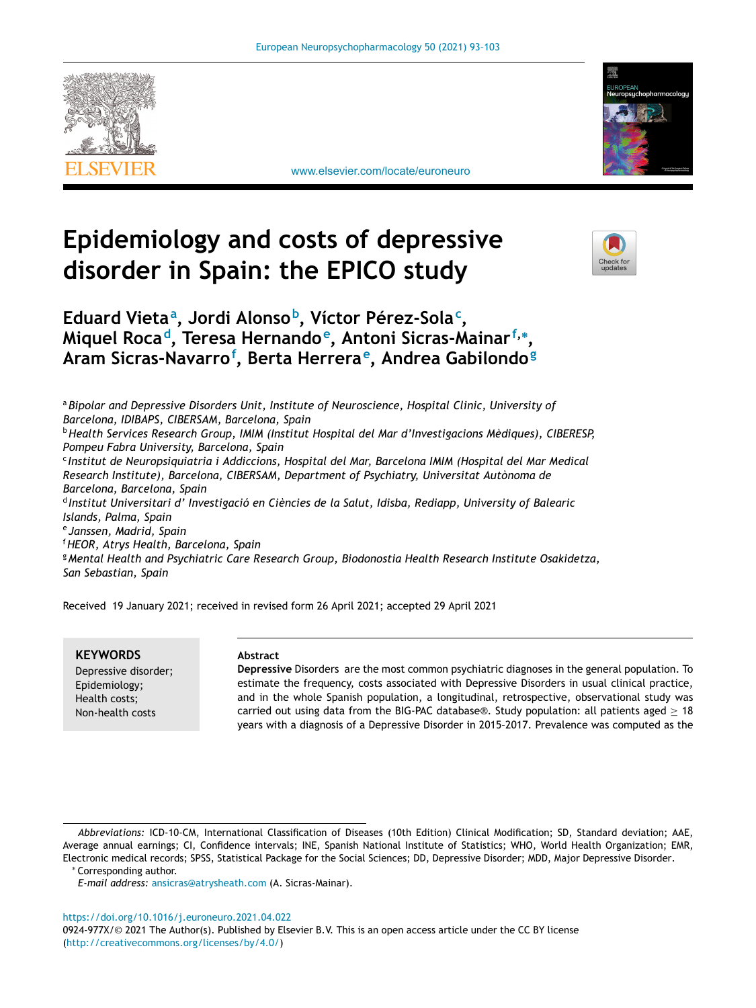[www.elsevier.com/locate/euroneuro](http://www.elsevier.com/locate/euroneuro)





# **Epidemiology and costs of depressive disorder in Spain: the EPICO study**



# **Eduard Vieta<sup>a</sup> , Jordi Alonsob, Víctor Pérez-Sola<sup>c</sup> , Miquel Rocad, Teresa Hernandoe, Antoni Sicras-Mainarf,<sup>∗</sup> , Aram Sicras-Navarro<sup>f</sup> , Berta Herrerae, Andrea Gabilondo<sup>g</sup>**

<sup>a</sup>*Bipolar and Depressive Disorders Unit, Institute of Neuroscience, Hospital Clinic, University of Barcelona, IDIBAPS, CIBERSAM, Barcelona, Spain* <sup>b</sup>*Health Services Research Group, IMIM (Institut Hospital del Mar d'Investigacions Mèdiques), CIBERESP, Pompeu Fabra University, Barcelona, Spain* <sup>c</sup> *Institut de Neuropsiquiatria i Addiccions, Hospital del Mar, Barcelona IMIM (Hospital del Mar Medical Research Institute), Barcelona, CIBERSAM, Department of Psychiatry, Universitat Autònoma de Barcelona, Barcelona, Spain* <sup>d</sup> *Institut Universitari d' Investigació en Ciències de la Salut, Idisba, Rediapp, University of Balearic Islands, Palma, Spain* <sup>e</sup> *Janssen, Madrid, Spain* <sup>f</sup>*HEOR, Atrys Health, Barcelona, Spain* <sup>g</sup>*Mental Health and Psychiatric Care Research Group, Biodonostia Health Research Institute Osakidetza, San Sebastian, Spain*

Received 19 January 2021; received in revised form 26 April 2021; accepted 29 April 2021

**KEYWORDS** Depressive disorder; Epidemiology; Health costs; Non-health costs

# **Abstract**

**Depressive** Disorders are the most common psychiatric diagnoses in the general population. To estimate the frequency, costs associated with Depressive Disorders in usual clinical practice, and in the whole Spanish population, a longitudinal, retrospective, observational study was carried out using data from the BIG-PAC database®. Study population: all patients aged  $> 18$ years with a diagnosis of a Depressive Disorder in 2015–2017. Prevalence was computed as the

∗ Corresponding author.

*E-mail address:* [ansicras@atrysheath.com](mailto:ansicras@atrysheath.com) (A. Sicras-Mainar).

<https://doi.org/10.1016/j.euroneuro.2021.04.022>

0924-977X/© 2021 The Author(s). Published by Elsevier B.V. This is an open access article under the CC BY license [\(http://creativecommons.org/licenses/by/4.0/\)](http://creativecommons.org/licenses/by/4.0/)

*Abbreviations:* ICD-10-CM, International Classification of Diseases (10th Edition) Clinical Modification; SD, Standard deviation; AAE, Average annual earnings; CI, Confidence intervals; INE, Spanish National Institute of Statistics; WHO, World Health Organization; EMR, Electronic medical records; SPSS, Statistical Package for the Social Sciences; DD, Depressive Disorder; MDD, Major Depressive Disorder.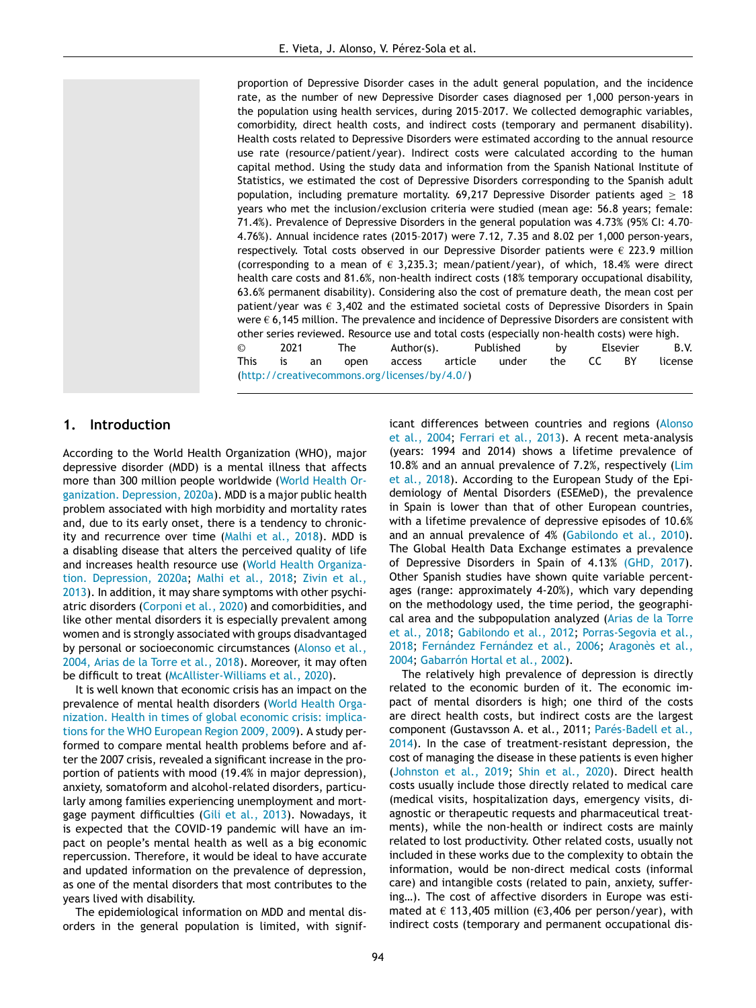proportion of Depressive Disorder cases in the adult general population, and the incidence rate, as the number of new Depressive Disorder cases diagnosed per 1,000 person-years in the population using health services, during 2015–2017. We collected demographic variables, comorbidity, direct health costs, and indirect costs (temporary and permanent disability). Health costs related to Depressive Disorders were estimated according to the annual resource use rate (resource/patient/year). Indirect costs were calculated according to the human capital method. Using the study data and information from the Spanish National Institute of Statistics, we estimated the cost of Depressive Disorders corresponding to the Spanish adult population, including premature mortality. 69,217 Depressive Disorder patients aged  $\geq 18$ years who met the inclusion/exclusion criteria were studied (mean age: 56.8 years; female: 71.4%). Prevalence of Depressive Disorders in the general population was 4.73% (95% CI: 4.70– 4.76%). Annual incidence rates (2015–2017) were 7.12, 7.35 and 8.02 per 1,000 person-years, respectively. Total costs observed in our Depressive Disorder patients were  $\epsilon$  223.9 million (corresponding to a mean of  $\epsilon$  3,235.3; mean/patient/year), of which, 18.4% were direct health care costs and 81.6%, non-health indirect costs (18% temporary occupational disability, 63.6% permanent disability). Considering also the cost of premature death*,* the mean cost per patient/year was  $\epsilon$  3,402 and the estimated societal costs of Depressive Disorders in Spain were  $\epsilon$  6,145 million. The prevalence and incidence of Depressive Disorders are consistent with other series reviewed. Resource use and total costs (especially non-health costs) were high. © 2021 The Author(s). Published by Elsevier B.V. This is an open access article under the CC BY license

[\(http://creativecommons.org/licenses/by/4.0/\)](http://creativecommons.org/licenses/by/4.0/)

## **1. Introduction**

According to the World Health Organization (WHO), major depressive disorder (MDD) is a mental illness that affects more than 300 million people worldwide (World Health Organization. [Depression,](#page-10-0) 2020a). MDD is a major public health problem associated with high morbidity and mortality rates and, due to its early onset, there is a tendency to chronicity and recurrence over time [\(Malhi](#page-9-0) et al., 2018). MDD is a disabling disease that alters the perceived quality of life and increases health resource use (World Health Organization. [Depression,](#page-10-0) 2020a; [Malhi](#page-9-0) et al., 2018; Zivin et al., 2013). In addition, it may share symptoms with other psychiatric disorders [\(Corponi](#page-9-0) et al., 2020) and comorbidities, and like other mental disorders it is especially prevalent among women and is strongly associated with groups disadvantaged by personal or [socioeconomic](#page-8-0) circumstances (Alonso et al., 2004, Arias de la Torre et al., 2018). Moreover, it may often be difficult to treat [\(McAllister-Williams](#page-9-0) et al., 2020).

It is well known that economic crisis has an impact on the [prevalence](#page-10-0) of mental health disorders (World Health Organization. Health in times of global economic crisis: implications for the WHO European Region 2009, 2009). A study performed to compare mental health problems before and after the 2007 crisis, revealed a significant increase in the proportion of patients with mood (19.4% in major depression), anxiety, somatoform and alcohol-related disorders, particularly among families experiencing unemployment and mort-gage payment difficulties (Gili et al., [2013\)](#page-9-0). Nowadays, it is expected that the COVID-19 pandemic will have an impact on people's mental health as well as a big economic repercussion. Therefore, it would be ideal to have accurate and updated information on the prevalence of depression, as one of the mental disorders that most contributes to the years lived with disability.

The epidemiological information on MDD and mental disorders in the general population is limited, with signif-

icant differences between countries and regions (Alonso et al., 2004; [Ferrari](#page-9-0) et al., 2013). A recent [meta-analysis](#page-8-0) (years: 1994 and 2014) shows a lifetime prevalence of 10.8% and an annual prevalence of 7.2%, [respectively](#page-9-0) (Lim et al., 2018). According to the European Study of the Epidemiology of Mental Disorders (ESEMeD), the prevalence in Spain is lower than that of other European countries, with a lifetime prevalence of depressive episodes of 10.6% and an annual prevalence of 4% [\(Gabilondo](#page-9-0) et al., 2010). The Global Health Data Exchange estimates a prevalence of Depressive Disorders in Spain of 4.13% [\(GHD,](#page-9-0) 2017). Other Spanish studies have shown quite variable percentages (range: approximately 4-20%), which vary depending on the methodology used, the time period, the geographical area and the subpopulation analyzed (Arias de la Torre et al., 2018; [Gabilondo](#page-9-0) et al., 2012; [Porras-Segovia](#page-8-0) et al., 2018; [Fernández](#page-9-0) Fernández et al., 2006; Aragonès et al., 2004; [Gabarrón](#page-9-0) Hortal et al., 2002).

The relatively high prevalence of depression is directly related to the economic burden of it. The economic impact of mental disorders is high; one third of the costs are direct health costs, but indirect costs are the largest component (Gustavsson A. et al., 2011; Parés-Badell et al., 2014). In the case of [treatment-resistant](#page-9-0) depression, the cost of managing the disease in these patients is even higher [\(Johnston](#page-9-0) et al., 2019; Shin et al., [2020\)](#page-10-0). Direct health costs usually include those directly related to medical care (medical visits, hospitalization days, emergency visits, diagnostic or therapeutic requests and pharmaceutical treatments), while the non-health or indirect costs are mainly related to lost productivity. Other related costs, usually not included in these works due to the complexity to obtain the information, would be non-direct medical costs (informal care) and intangible costs (related to pain, anxiety, suffering…). The cost of affective disorders in Europe was estimated at  $\epsilon$  113,405 million ( $\epsilon$ 3,406 per person/year), with indirect costs (temporary and permanent occupational dis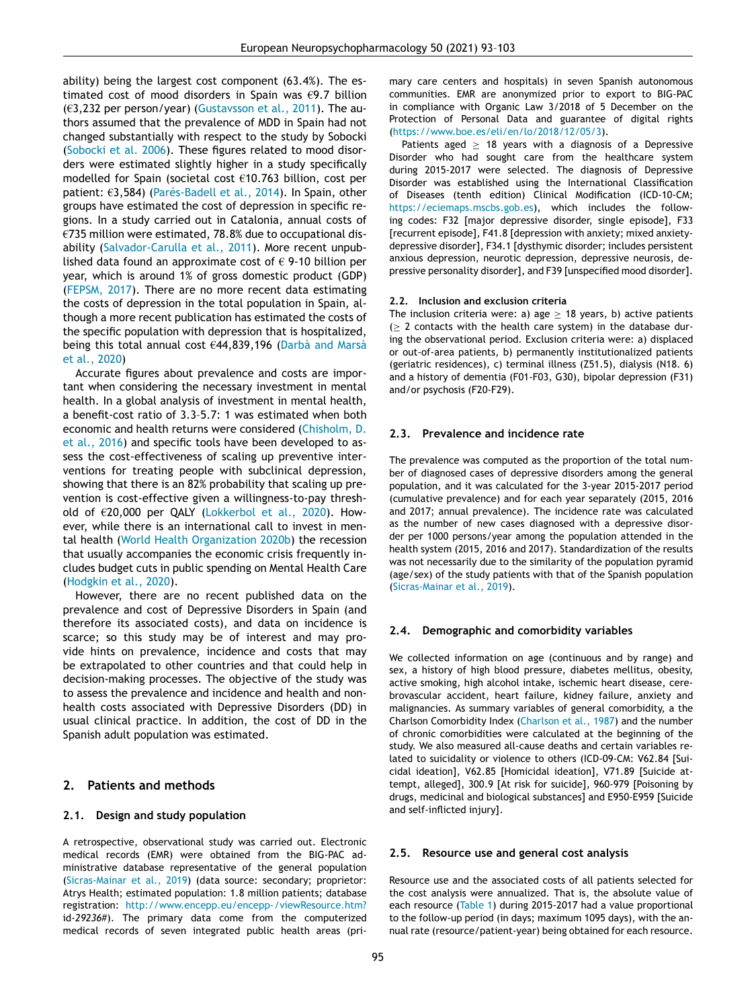ability) being the largest cost component (63.4%). The estimated cost of mood disorders in Spain was  $\epsilon$ 9.7 billion  $(63,232)$  per person/year) [\(Gustavsson](#page-9-0) et al., 2011). The authors assumed that the prevalence of MDD in Spain had not changed substantially with respect to the study by Sobocki [\(Sobocki](#page-10-0) et al. 2006). These figures related to mood disorders were estimated slightly higher in a study specifically modelled for Spain (societal cost €10.763 billion, cost per patient: €3,584) [\(Parés-Badell](#page-9-0) et al., 2014). In Spain, other groups have estimated the cost of depression in specific regions. In a study carried out in Catalonia, annual costs of €735 million were estimated, 78.8% due to occupational disability [\(Salvador-Carulla](#page-10-0) et al., 2011). More recent unpublished data found an approximate cost of  $\epsilon$  9-10 billion per year, which is around 1% of gross domestic product (GDP) [\(FEPSM,](#page-9-0) 2017). There are no more recent data estimating the costs of depression in the total population in Spain, although a more recent publication has estimated the costs of the specific population with depression that is hospitalized, being this total annual cost €44,839,196 [\(Darbà and](#page-9-0) Marsà et al., 2020)

Accurate figures about prevalence and costs are important when considering the necessary investment in mental health. In a global analysis of investment in mental health, a benefit-cost ratio of 3.3–5.7: 1 was estimated when both economic and health returns were [considered](#page-9-0) (Chisholm, D. et al., 2016) and specific tools have been developed to assess the cost-effectiveness of scaling up preventive interventions for treating people with subclinical depression, showing that there is an 82% probability that scaling up prevention is cost-effective given a willingness-to-pay threshold of €20,000 per QALY [\(Lokkerbol](#page-9-0) et al., 2020). However, while there is an international call to invest in mental health (World Health [Organization](#page-10-0) 2020b) the recession that usually accompanies the economic crisis frequently includes budget cuts in public spending on Mental Health Care [\(Hodgkin](#page-9-0) et al., 2020).

However, there are no recent published data on the prevalence and cost of Depressive Disorders in Spain (and therefore its associated costs), and data on incidence is scarce; so this study may be of interest and may provide hints on prevalence, incidence and costs that may be extrapolated to other countries and that could help in decision-making processes. The objective of the study was to assess the prevalence and incidence and health and nonhealth costs associated with Depressive Disorders (DD) in usual clinical practice. In addition, the cost of DD in the Spanish adult population was estimated.

#### **2. Patients and methods**

#### **2.1. Design and study population**

A retrospective, observational study was carried out. Electronic medical records (EMR) were obtained from the BIG-PAC administrative database representative of the general population [\(Sicras-Mainar](#page-10-0) et al., 2019) (data source: secondary; proprietor: Atrys Health; estimated population: 1.8 million patients; database registration: <http://www.encepp.eu/encepp-/viewResource.htm?> id*-29236*#). The primary data come from the computerized medical records of seven integrated public health areas (primary care centers and hospitals) in seven Spanish autonomous communities. EMR are anonymized prior to export to BIG-PAC in compliance with Organic Law 3/2018 of 5 December on the Protection of Personal Data and guarantee of digital rights [\(https://www.boe.es/eli/en/lo/2018/12/05/3\)](https://www.boe.es/eli/en/lo/2018/12/05/3).

Patients aged  $\geq$  18 years with a diagnosis of a Depressive Disorder who had sought care from the healthcare system during 2015-2017 were selected. The diagnosis of Depressive Disorder was established using the International Classification of Diseases (tenth edition) Clinical Modification (ICD-10-CM; [https://eciemaps.mscbs.gob.es\)](https://eciemaps.mscbs.gob.es), which includes the following codes: F32 [major depressive disorder, single episode], F33 [recurrent episode], F41.8 [depression with anxiety; mixed anxietydepressive disorder], F34.1 [dysthymic disorder; includes persistent anxious depression, neurotic depression, depressive neurosis, depressive personality disorder], and F39 [unspecified mood disorder].

#### **2.2. Inclusion and exclusion criteria**

The inclusion criteria were: a) age  $\geq$  18 years, b) active patients  $( \geq 2$  contacts with the health care system) in the database during the observational period. Exclusion criteria were: a) displaced or out-of-area patients, b) permanently institutionalized patients (geriatric residences), c) terminal illness (Z51.5), dialysis (N18. 6) and a history of dementia (F01-F03, G30), bipolar depression (F31) and/or psychosis (F20-F29).

#### **2.3. Prevalence and incidence rate**

The prevalence was computed as the proportion of the total number of diagnosed cases of depressive disorders among the general population, and it was calculated for the 3-year 2015-2017 period (cumulative prevalence) and for each year separately (2015, 2016 and 2017; annual prevalence). The incidence rate was calculated as the number of new cases diagnosed with a depressive disorder per 1000 persons/year among the population attended in the health system (2015, 2016 and 2017). Standardization of the results was not necessarily due to the similarity of the population pyramid (age/sex) of the study patients with that of the Spanish population [\(Sicras-Mainar](#page-10-0) et al., 2019).

#### **2.4. Demographic and comorbidity variables**

We collected information on age (continuous and by range) and sex, a history of high blood pressure, diabetes mellitus, obesity, active smoking, high alcohol intake, ischemic heart disease, cerebrovascular accident, heart failure, kidney failure, anxiety and malignancies. As summary variables of general comorbidity, a the Charlson Comorbidity Index [\(Charlson](#page-9-0) et al., 1987) and the number of chronic comorbidities were calculated at the beginning of the study. We also measured all-cause deaths and certain variables related to suicidality or violence to others (ICD-09-CM: V62.84 [Suicidal ideation], V62.85 [Homicidal ideation], V71.89 [Suicide attempt, alleged], 300.9 [At risk for suicide], 960-979 [Poisoning by drugs, medicinal and biological substances] and E950-E959 [Suicide and self-inflicted injury].

#### **2.5. Resource use and general cost analysis**

Resource use and the associated costs of all patients selected for the cost analysis were annualized. That is, the absolute value of each resource [\(Table](#page-3-0) 1) during 2015-2017 had a value proportional to the follow-up period (in days; maximum 1095 days), with the annual rate (resource/patient-year) being obtained for each resource.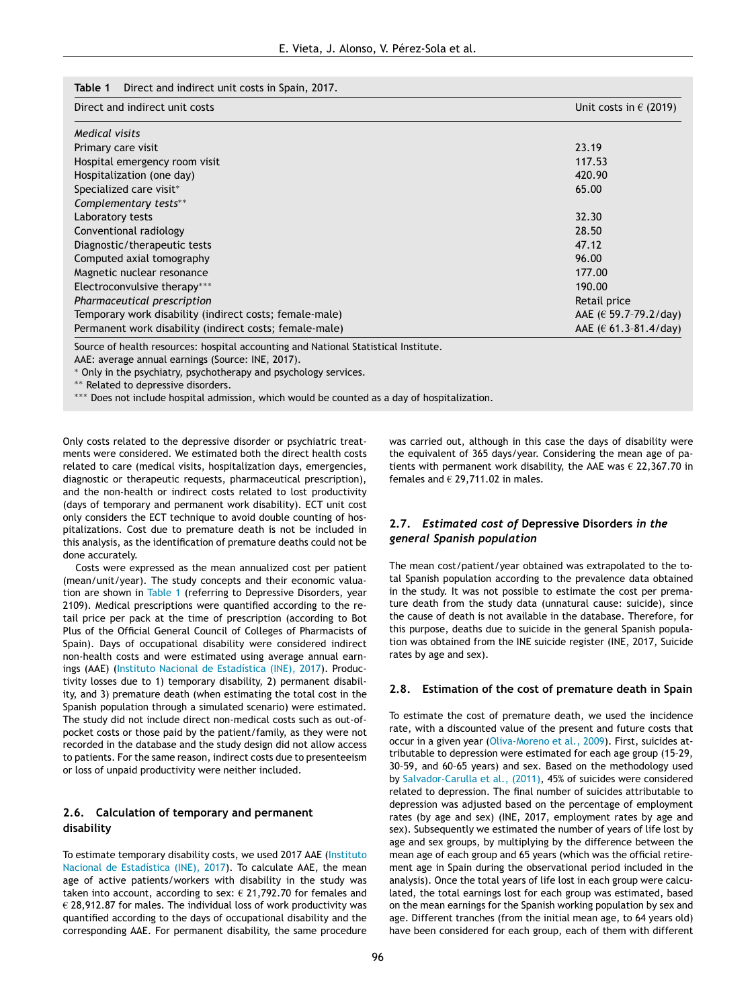<span id="page-3-0"></span>

|  |  | <b>Table 1</b> Direct and indirect unit costs in Spain, 2017. |  |  |
|--|--|---------------------------------------------------------------|--|--|
|--|--|---------------------------------------------------------------|--|--|

| Direct and indirect unit costs                          | Unit costs in $\epsilon$ (2019) |  |
|---------------------------------------------------------|---------------------------------|--|
| Medical visits                                          |                                 |  |
| Primary care visit                                      | 23.19                           |  |
| Hospital emergency room visit                           | 117.53                          |  |
| Hospitalization (one day)                               | 420.90                          |  |
| Specialized care visit*                                 | 65.00                           |  |
| Complementary tests**                                   |                                 |  |
| Laboratory tests                                        | 32.30                           |  |
| Conventional radiology                                  | 28.50                           |  |
| Diagnostic/therapeutic tests                            | 47.12                           |  |
| Computed axial tomography                               | 96.00                           |  |
| Magnetic nuclear resonance                              | 177.00                          |  |
| Electroconvulsive therapy***                            | 190.00                          |  |
| Pharmaceutical prescription                             | Retail price                    |  |
| Temporary work disability (indirect costs; female-male) | AAE $(E 59.7 - 79.2 / day)$     |  |
| Permanent work disability (indirect costs; female-male) | AAE ( $\in$ 61.3-81.4/day)      |  |

Source of health resources: hospital accounting and National Statistical Institute.

AAE: average annual earnings (Source: INE, 2017).

∗ Only in the psychiatry, psychotherapy and psychology services.

∗∗ Related to depressive disorders.

∗∗∗ Does not include hospital admission, which would be counted as a day of hospitalization.

Only costs related to the depressive disorder or psychiatric treatments were considered. We estimated both the direct health costs related to care (medical visits, hospitalization days, emergencies, diagnostic or therapeutic requests, pharmaceutical prescription), and the non-health or indirect costs related to lost productivity (days of temporary and permanent work disability). ECT unit cost only considers the ECT technique to avoid double counting of hospitalizations. Cost due to premature death is not be included in this analysis, as the identification of premature deaths could not be done accurately.

Costs were expressed as the mean annualized cost per patient (mean/unit/year). The study concepts and their economic valuation are shown in Table 1 (referring to Depressive Disorders, year 2109). Medical prescriptions were quantified according to the retail price per pack at the time of prescription (according to Bot Plus of the Official General Council of Colleges of Pharmacists of Spain). Days of occupational disability were considered indirect non-health costs and were estimated using average annual earnings (AAE) (Instituto Nacional de [Estadística](#page-9-0) (INE), 2017). Productivity losses due to 1) temporary disability, 2) permanent disability, and 3) premature death (when estimating the total cost in the Spanish population through a simulated scenario) were estimated. The study did not include direct non-medical costs such as out-ofpocket costs or those paid by the patient/family, as they were not recorded in the database and the study design did not allow access to patients. For the same reason, indirect costs due to presenteeism or loss of unpaid productivity were neither included.

#### **2.6. Calculation of temporary and permanent disability**

To estimate temporary disability costs, we used 2017 AAE (Instituto Nacional de [Estadística](#page-9-0) (INE), 2017). To calculate AAE, the mean age of active patients/workers with disability in the study was taken into account, according to sex:  $\epsilon$  21,792.70 for females and  $\epsilon$  28,912.87 for males. The individual loss of work productivity was quantified according to the days of occupational disability and the corresponding AAE. For permanent disability, the same procedure

was carried out, although in this case the days of disability were the equivalent of 365 days/year. Considering the mean age of patients with permanent work disability, the AAE was  $\epsilon$  22,367.70 in females and  $\epsilon$  29,711.02 in males.

#### **2.7.** *Estimated cost of* **Depressive Disorders** *in the general Spanish population*

The mean cost/patient/year obtained was extrapolated to the total Spanish population according to the prevalence data obtained in the study. It was not possible to estimate the cost per premature death from the study data (unnatural cause: suicide), since the cause of death is not available in the database. Therefore, for this purpose, deaths due to suicide in the general Spanish population was obtained from the INE suicide register (INE, 2017, Suicide rates by age and sex).

#### **2.8. Estimation of the cost of premature death in Spain**

To estimate the cost of premature death, we used the incidence rate, with a discounted value of the present and future costs that occur in a given year [\(Oliva-Moreno](#page-9-0) et al., 2009). First, suicides attributable to depression were estimated for each age group (15–29, 30–59, and 60–65 years) and sex. Based on the methodology used by [Salvador-Carulla](#page-10-0) et al., (2011), 45% of suicides were considered related to depression. The final number of suicides attributable to depression was adjusted based on the percentage of employment rates (by age and sex) (INE, 2017, employment rates by age and sex). Subsequently we estimated the number of years of life lost by age and sex groups, by multiplying by the difference between the mean age of each group and 65 years (which was the official retirement age in Spain during the observational period included in the analysis). Once the total years of life lost in each group were calculated, the total earnings lost for each group was estimated, based on the mean earnings for the Spanish working population by sex and age. Different tranches (from the initial mean age, to 64 years old) have been considered for each group, each of them with different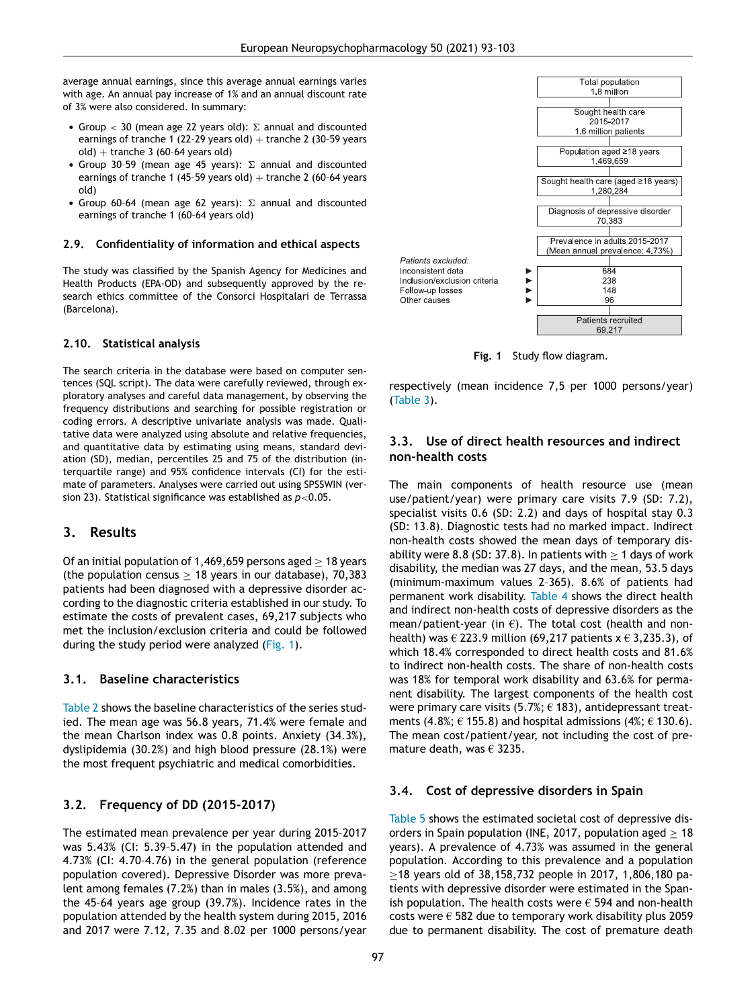average annual earnings, since this average annual earnings varies with age. An annual pay increase of 1% and an annual discount rate of 3% were also considered. In summary:

- Group  $<$  30 (mean age 22 years old):  $\Sigma$  annual and discounted earnings of tranche 1 (22-29 years old) + tranche 2 (30-59 years  $old$ ) + tranche 3 (60-64 years old)
- Group 30-59 (mean age 45 years):  $\Sigma$  annual and discounted earnings of tranche 1 (45-59 years old) + tranche 2 (60-64 years old)
- Group 60-64 (mean age 62 years):  $\Sigma$  annual and discounted earnings of tranche 1 (60–64 years old)

#### **2.9. Confidentiality of information and ethical aspects**

The study was classified by the Spanish Agency for Medicines and Health Products (EPA-OD) and subsequently approved by the research ethics committee of the Consorci Hospitalari de Terrassa (Barcelona).

#### **2.10. Statistical analysis**

The search criteria in the database were based on computer sentences (SQL script). The data were carefully reviewed, through exploratory analyses and careful data management, by observing the frequency distributions and searching for possible registration or coding errors. A descriptive univariate analysis was made. Qualitative data were analyzed using absolute and relative frequencies, and quantitative data by estimating using means, standard deviation (SD), median, percentiles 25 and 75 of the distribution (interquartile range) and 95% confidence intervals (CI) for the estimate of parameters. Analyses were carried out using SPSSWIN (version 23). Statistical significance was established as *p*<0.05.

#### **3. Results**

Of an initial population of 1,469,659 persons aged  $> 18$  years (the population census  $> 18$  years in our database), 70,383 patients had been diagnosed with a depressive disorder according to the diagnostic criteria established in our study. To estimate the costs of prevalent cases, 69,217 subjects who met the inclusion/exclusion criteria and could be followed during the study period were analyzed (Fig. 1).

### **3.1. Baseline characteristics**

[Table](#page-5-0) 2 shows the baseline characteristics of the series studied. The mean age was 56.8 years, 71.4% were female and the mean Charlson index was 0.8 points. Anxiety (34.3%), dyslipidemia (30.2%) and high blood pressure (28.1%) were the most frequent psychiatric and medical comorbidities.

#### **3.2. Frequency of DD (2015–2017)**

The estimated mean prevalence per year during 2015–2017 was 5.43% (CI: 5.39–5.47) in the population attended and 4.73% (CI: 4.70–4.76) in the general population (reference population covered). Depressive Disorder was more prevalent among females (7.2%) than in males (3.5%), and among the 45–64 years age group (39.7%). Incidence rates in the population attended by the health system during 2015, 2016 and 2017 were 7.12, 7.35 and 8.02 per 1000 persons/year



**Fig. 1** Study flow diagram.

respectively (mean incidence 7,5 per 1000 persons/year) [\(Table](#page-5-0) 3).

### **3.3. Use of direct health resources and indirect non-health costs**

The main components of health resource use (mean use/patient/year) were primary care visits 7.9 (SD: 7.2), specialist visits 0.6 (SD: 2.2) and days of hospital stay 0.3 (SD: 13.8). Diagnostic tests had no marked impact. Indirect non-health costs showed the mean days of temporary disability were 8.8 (SD: 37.8). In patients with  $> 1$  days of work disability, the median was 27 days, and the mean, 53.5 days (minimum-maximum values 2–365). 8.6% of patients had permanent work disability. [Table](#page-5-0) 4 shows the direct health and indirect non-health costs of depressive disorders as the mean/patient-year (in  $\epsilon$ ). The total cost (health and nonhealth) was  $\in$  223.9 million (69.217 patients  $x \in$  3.235.3), of which 18.4% corresponded to direct health costs and 81.6% to indirect non-health costs. The share of non-health costs was 18% for temporal work disability and 63.6% for permanent disability. The largest components of the health cost were primary care visits (5.7%;  $\epsilon$  183), antidepressant treatments (4.8%;  $\in$  155.8) and hospital admissions (4%;  $\in$  130.6). The mean cost/patient/year, not including the cost of premature death, was  $\epsilon$  3235.

#### **3.4. Cost of depressive disorders in Spain**

[Table](#page-6-0) 5 shows the estimated societal cost of depressive disorders in Spain population (INE, 2017, population aged  $> 18$ years). A prevalence of 4.73% was assumed in the general population. According to this prevalence and a population ≥18 years old of 38,158,732 people in 2017, 1,806,180 patients with depressive disorder were estimated in the Spanish population. The health costs were  $\epsilon$  594 and non-health costs were  $\epsilon$  582 due to temporary work disability plus 2059 due to permanent disability. The cost of premature death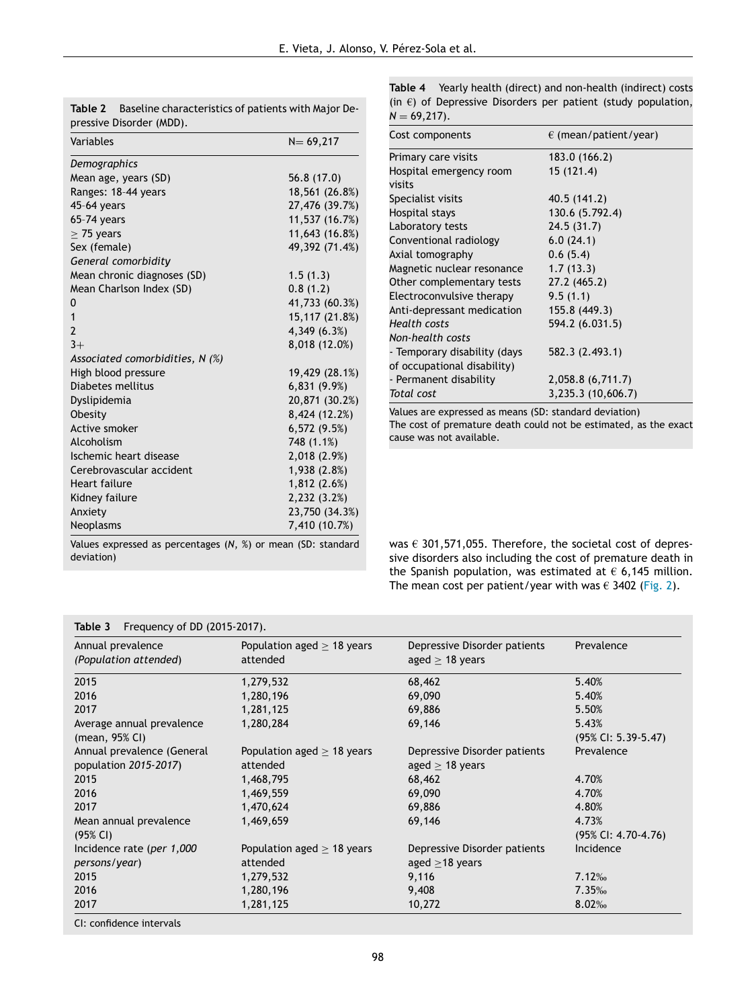| Demographics<br>Mean age, years (SD)<br>Ranges: 18-44 years<br>45-64 years<br>65-74 years<br>$\geq$ 75 years<br>Sex (female)<br>General comorbidity<br>Mean chronic diagnoses (SD)<br>Mean Charlson Index (SD)<br>0 | 56.8 (17.0)<br>18,561 (26.8%)<br>27,476 (39.7%)<br>11,537 (16.7%)<br>11,643 (16.8%)<br>49,392 (71.4%)<br>1.5(1.3)<br>0.8(1.2) |
|---------------------------------------------------------------------------------------------------------------------------------------------------------------------------------------------------------------------|-------------------------------------------------------------------------------------------------------------------------------|
|                                                                                                                                                                                                                     |                                                                                                                               |
|                                                                                                                                                                                                                     |                                                                                                                               |
|                                                                                                                                                                                                                     |                                                                                                                               |
|                                                                                                                                                                                                                     |                                                                                                                               |
|                                                                                                                                                                                                                     |                                                                                                                               |
|                                                                                                                                                                                                                     |                                                                                                                               |
|                                                                                                                                                                                                                     |                                                                                                                               |
|                                                                                                                                                                                                                     |                                                                                                                               |
|                                                                                                                                                                                                                     |                                                                                                                               |
|                                                                                                                                                                                                                     |                                                                                                                               |
|                                                                                                                                                                                                                     | 41,733 (60.3%)                                                                                                                |
| 1                                                                                                                                                                                                                   | 15,117 (21.8%)                                                                                                                |
| $\overline{2}$                                                                                                                                                                                                      | 4,349 (6.3%)                                                                                                                  |
| $3+$                                                                                                                                                                                                                | 8,018 (12.0%)                                                                                                                 |
| Associated comorbidities, $N$ (%)                                                                                                                                                                                   |                                                                                                                               |
| High blood pressure                                                                                                                                                                                                 | 19,429 (28.1%)                                                                                                                |
| Diabetes mellitus                                                                                                                                                                                                   | 6,831(9.9%)                                                                                                                   |
| Dyslipidemia                                                                                                                                                                                                        | 20,871 (30.2%)                                                                                                                |
| Obesity                                                                                                                                                                                                             | 8,424 (12.2%)                                                                                                                 |
| Active smoker                                                                                                                                                                                                       | 6,572(9.5%)                                                                                                                   |
| Alcoholism                                                                                                                                                                                                          | 748 (1.1%)                                                                                                                    |
| Ischemic heart disease                                                                                                                                                                                              | 2,018 (2.9%)                                                                                                                  |
| Cerebrovascular accident                                                                                                                                                                                            | 1,938 (2.8%)                                                                                                                  |
| Heart failure                                                                                                                                                                                                       | 1,812 (2.6%)                                                                                                                  |
| Kidney failure                                                                                                                                                                                                      | 2,232 (3.2%)                                                                                                                  |
| Anxiety                                                                                                                                                                                                             | 23,750 (34.3%)                                                                                                                |
| Neoplasms                                                                                                                                                                                                           | 7,410 (10.7%)                                                                                                                 |

<span id="page-5-0"></span>**Table 2** Baseline characteristics of patients with Major Depressive Disorder (MDD).

**Table 4** Yearly health (direct) and non-health (indirect) costs (in  $\epsilon$ ) of Depressive Disorders per patient (study population,  $N = 69,217$ .

| Cost components              | $\epsilon$ (mean/patient/year) |
|------------------------------|--------------------------------|
| Primary care visits          | 183.0 (166.2)                  |
| Hospital emergency room      | 15 (121.4)                     |
| visits                       |                                |
| Specialist visits            | 40.5 (141.2)                   |
| Hospital stays               | 130.6 (5.792.4)                |
| Laboratory tests             | 24.5 (31.7)                    |
| Conventional radiology       | 6.0(24.1)                      |
| Axial tomography             | 0.6(5.4)                       |
| Magnetic nuclear resonance   | 1.7(13.3)                      |
| Other complementary tests    | 27.2 (465.2)                   |
| Electroconvulsive therapy    | 9.5(1.1)                       |
| Anti-depressant medication   | 155.8 (449.3)                  |
| Health costs                 | 594.2 (6.031.5)                |
| Non-health costs             |                                |
| - Temporary disability (days | 582.3 (2.493.1)                |
| of occupational disability)  |                                |
| - Permanent disability       | 2,058.8 (6,711.7)              |
| Total cost                   | 3,235.3 (10,606.7)             |

Values are expressed as means (SD: standard deviation) The cost of premature death could not be estimated, as the exact cause was not available.

Values expressed as percentages (*N*, %) or mean (SD: standard deviation)

was  $\epsilon$  301,571,055. Therefore, the societal cost of depressive disorders also including the cost of premature death in the Spanish population, was estimated at  $\epsilon$  6,145 million. The mean cost per patient/year with was  $\epsilon$  3402 [\(Fig.](#page-6-0) 2).

| $\frac{1}{2}$              |                                 |                              |                        |
|----------------------------|---------------------------------|------------------------------|------------------------|
| Annual prevalence          | Population aged $\geq$ 18 years | Depressive Disorder patients | Prevalence             |
| (Population attended)      | attended                        | aged $\geq$ 18 years         |                        |
| 2015                       | 1,279,532                       | 68,462                       | 5.40%                  |
| 2016                       | 1,280,196                       | 69,090                       | 5.40%                  |
| 2017                       | 1,281,125                       | 69,886                       | 5.50%                  |
| Average annual prevalence  | 1,280,284                       | 69,146                       | 5.43%                  |
| (mean, $95\%$ CI)          |                                 |                              | (95% CI: 5.39-5.47)    |
| Annual prevalence (General | Population aged $\geq$ 18 years | Depressive Disorder patients | Prevalence             |
| population 2015-2017)      | attended                        | aged $\geq$ 18 years         |                        |
| 2015                       | 1,468,795                       | 68,462                       | 4.70%                  |
| 2016                       | 1,469,559                       | 69,090                       | 4.70%                  |
| 2017                       | 1,470,624                       | 69,886                       | 4.80%                  |
| Mean annual prevalence     | 1,469,659                       | 69,146                       | 4.73%                  |
| (95% CI)                   |                                 |                              | $(95\%$ CI: 4.70-4.76) |
| Incidence rate (per 1,000  | Population aged $\geq$ 18 years | Depressive Disorder patients | Incidence              |
| persons/year)              | attended                        | aged $\geq$ 18 years         |                        |
| 2015                       | 1,279,532                       | 9,116                        | 7.12‰                  |
| 2016                       | 1,280,196                       | 9,408                        | 7.35%                  |
| 2017                       | 1,281,125                       | 10,272                       | 8.02%                  |

# **Table 3** Frequency of DD (2015-2017).

CI: confidence intervals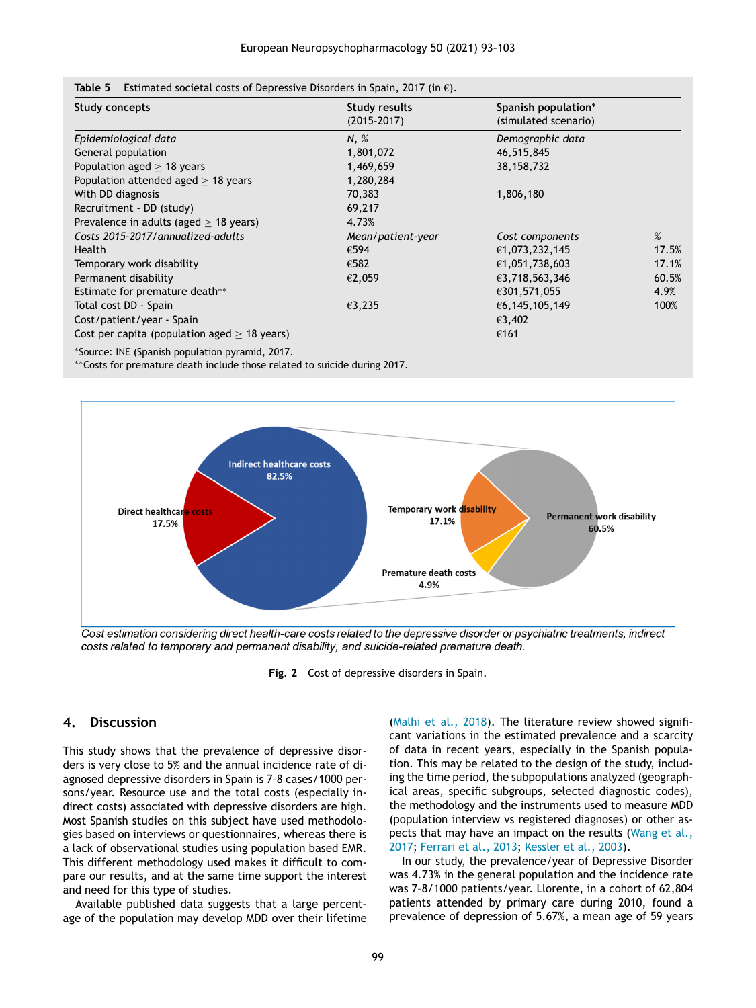| <b>Study concepts</b>                          | Study results     | Spanish population*  |       |
|------------------------------------------------|-------------------|----------------------|-------|
|                                                | $(2015 - 2017)$   | (simulated scenario) |       |
| Epidemiological data                           | N, %              | Demographic data     |       |
| General population                             | 1,801,072         | 46,515,845           |       |
| Population aged $\geq$ 18 years                | 1,469,659         | 38,158,732           |       |
| Population attended aged $\geq$ 18 years       | 1,280,284         |                      |       |
| With DD diagnosis                              | 70,383            | 1,806,180            |       |
| Recruitment - DD (study)                       | 69,217            |                      |       |
| Prevalence in adults (aged $\geq$ 18 years)    | 4.73%             |                      |       |
| Costs 2015-2017/annualized-adults              | Mean/patient-year | Cost components      | $\%$  |
| <b>Health</b>                                  | €594              | €1,073,232,145       | 17.5% |
| Temporary work disability                      | €582              | €1,051,738,603       | 17.1% |
| Permanent disability                           | €2,059            | €3,718,563,346       | 60.5% |
| Estimate for premature death**                 |                   | €301,571,055         | 4.9%  |
| Total cost DD - Spain                          | €3,235            | €6,145,105,149       | 100%  |
| Cost/patient/year - Spain                      |                   | €3,402               |       |
| Cost per capita (population aged $>$ 18 years) |                   | €161                 |       |

<span id="page-6-0"></span>**Table 5** Estimated societal costs of Depressive Disorders in Spain, 2017 (in €).

∗Source: INE (Spanish population pyramid, 2017.

∗∗Costs for premature death include those related to suicide during 2017.



Cost estimation considering direct health-care costs related to the depressive disorder or psychiatric treatments, indirect costs related to temporary and permanent disability, and suicide-related premature death.

**Fig. 2** Cost of depressive disorders in Spain.

#### **4. Discussion**

This study shows that the prevalence of depressive disorders is very close to 5% and the annual incidence rate of diagnosed depressive disorders in Spain is 7–8 cases/1000 persons/year. Resource use and the total costs (especially indirect costs) associated with depressive disorders are high. Most Spanish studies on this subject have used methodologies based on interviews or questionnaires, whereas there is a lack of observational studies using population based EMR. This different methodology used makes it difficult to compare our results, and at the same time support the interest and need for this type of studies.

Available published data suggests that a large percentage of the population may develop MDD over their lifetime

[\(Malhi](#page-9-0) et al., 2018). The literature review showed significant variations in the estimated prevalence and a scarcity of data in recent years, especially in the Spanish population. This may be related to the design of the study, including the time period, the subpopulations analyzed (geographical areas, specific subgroups, selected diagnostic codes), the methodology and the instruments used to measure MDD (population interview vs registered diagnoses) or other aspects that may have an impact on the results (Wang et al., 2017; [Ferrari](#page-9-0) et al., 2013; [Kessler](#page-10-0) et al., 2003).

In our study, the prevalence/year of Depressive Disorder was 4.73% in the general population and the incidence rate was 7–8/1000 patients/year. Llorente, in a cohort of 62,804 patients attended by primary care during 2010, found a prevalence of depression of 5.67%, a mean age of 59 years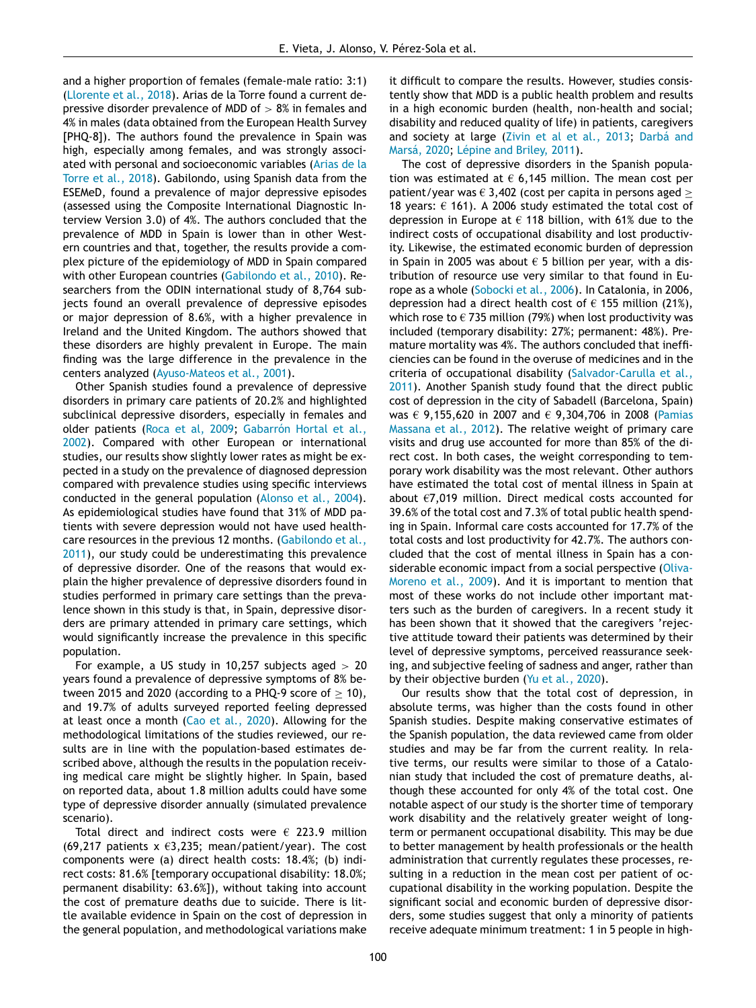and a higher proportion of females (female-male ratio: 3:1) [\(Llorente](#page-9-0) et al., 2018). Arias de la Torre found a current depressive disorder prevalence of MDD of  $> 8\%$  in females and 4% in males (data obtained from the European Health Survey [PHQ-8]). The authors found the prevalence in Spain was high, especially among females, and was strongly associated with personal and [socioeconomic](#page-8-0) variables (Arias de la Torre et al., 2018). Gabilondo, using Spanish data from the ESEMeD, found a prevalence of major depressive episodes (assessed using the Composite International Diagnostic Interview Version 3.0) of 4%. The authors concluded that the prevalence of MDD in Spain is lower than in other Western countries and that, together, the results provide a complex picture of the epidemiology of MDD in Spain compared with other European countries [\(Gabilondo](#page-9-0) et al., 2010). Researchers from the ODIN international study of 8,764 subjects found an overall prevalence of depressive episodes or major depression of 8.6%, with a higher prevalence in Ireland and the United Kingdom. The authors showed that these disorders are highly prevalent in Europe. The main finding was the large difference in the prevalence in the centers analyzed [\(Ayuso-Mateos](#page-8-0) et al., 2001).

Other Spanish studies found a prevalence of depressive disorders in primary care patients of 20.2% and highlighted subclinical depressive disorders, especially in females and older patients [\(Roca](#page-10-0) et al, 2009; Gabarrón Hortal et al., 2002). Compared with other European or [international](#page-9-0) studies, our results show slightly lower rates as might be expected in a study on the prevalence of diagnosed depression compared with prevalence studies using specific interviews conducted in the general population [\(Alonso](#page-8-0) et al., 2004). As epidemiological studies have found that 31% of MDD patients with severe depression would not have used healthcare resources in the previous 12 months. (Gabilondo et al., 2011), our study could be [underestimating](#page-9-0) this prevalence of depressive disorder. One of the reasons that would explain the higher prevalence of depressive disorders found in studies performed in primary care settings than the prevalence shown in this study is that, in Spain, depressive disorders are primary attended in primary care settings, which would significantly increase the prevalence in this specific population.

For example, a US study in 10,257 subjects aged  $> 20$ years found a prevalence of depressive symptoms of 8% between 2015 and 2020 (according to a PHQ-9 score of  $\geq$  10), and 19.7% of adults surveyed reported feeling depressed at least once a month (Cao et al., [2020\)](#page-9-0). Allowing for the methodological limitations of the studies reviewed, our results are in line with the population-based estimates described above, although the results in the population receiving medical care might be slightly higher. In Spain, based on reported data, about 1.8 million adults could have some type of depressive disorder annually (simulated prevalence scenario).

Total direct and indirect costs were  $\epsilon$  223.9 million (69,217 patients  $x \in 3.235$ ; mean/patient/year). The cost components were (a) direct health costs: 18.4%; (b) indirect costs: 81.6% [temporary occupational disability: 18.0%; permanent disability: 63.6%]), without taking into account the cost of premature deaths due to suicide. There is little available evidence in Spain on the cost of depression in the general population, and methodological variations make it difficult to compare the results. However, studies consistently show that MDD is a public health problem and results in a high economic burden (health, non-health and social; disability and reduced quality of life) in patients, caregivers and society at large [\(Zivin](#page-10-0) et al et al., 2013; [Darbá and](#page-9-0) Marsá, 2020; [Lépine](#page-9-0) and Briley, 2011).

The cost of depressive disorders in the Spanish population was estimated at  $\epsilon$  6,145 million. The mean cost per patient/year was  $\epsilon$  3,402 (cost per capita in persons aged  $\geq$ 18 years:  $\epsilon$  161). A 2006 study estimated the total cost of depression in Europe at  $\epsilon$  118 billion, with 61% due to the indirect costs of occupational disability and lost productivity. Likewise, the estimated economic burden of depression in Spain in 2005 was about  $\epsilon$  5 billion per vear, with a distribution of resource use very similar to that found in Europe as a whole [\(Sobocki](#page-10-0) et al., 2006). In Catalonia, in 2006, depression had a direct health cost of  $\epsilon$  155 million (21%), which rose to  $\epsilon$  735 million (79%) when lost productivity was included (temporary disability: 27%; permanent: 48%). Premature mortality was 4%. The authors concluded that inefficiencies can be found in the overuse of medicines and in the criteria of occupational disability [\(Salvador-Carulla](#page-10-0) et al., 2011). Another Spanish study found that the direct public cost of depression in the city of Sabadell (Barcelona, Spain) was € [9,155,620](#page-9-0) in 2007 and € 9,304,706 in 2008 (Pamias Massana et al., 2012). The relative weight of primary care visits and drug use accounted for more than 85% of the direct cost. In both cases, the weight corresponding to temporary work disability was the most relevant. Other authors have estimated the total cost of mental illness in Spain at about €7,019 million. Direct medical costs accounted for 39.6% of the total cost and 7.3% of total public health spending in Spain. Informal care costs accounted for 17.7% of the total costs and lost productivity for 42.7%. The authors concluded that the cost of mental illness in Spain has a considerable economic impact from a social [perspective](#page-9-0) (Oliva-Moreno et al., 2009). And it is important to mention that most of these works do not include other important matters such as the burden of caregivers. In a recent study it has been shown that it showed that the caregivers 'rejective attitude toward their patients was determined by their level of depressive symptoms, perceived reassurance seeking, and subjective feeling of sadness and anger, rather than by their objective burden (Yu et al., [2020\)](#page-10-0).

Our results show that the total cost of depression, in absolute terms, was higher than the costs found in other Spanish studies. Despite making conservative estimates of the Spanish population, the data reviewed came from older studies and may be far from the current reality. In relative terms, our results were similar to those of a Catalonian study that included the cost of premature deaths, although these accounted for only 4% of the total cost. One notable aspect of our study is the shorter time of temporary work disability and the relatively greater weight of longterm or permanent occupational disability. This may be due to better management by health professionals or the health administration that currently regulates these processes, resulting in a reduction in the mean cost per patient of occupational disability in the working population. Despite the significant social and economic burden of depressive disorders, some studies suggest that only a minority of patients receive adequate minimum treatment: 1 in 5 people in high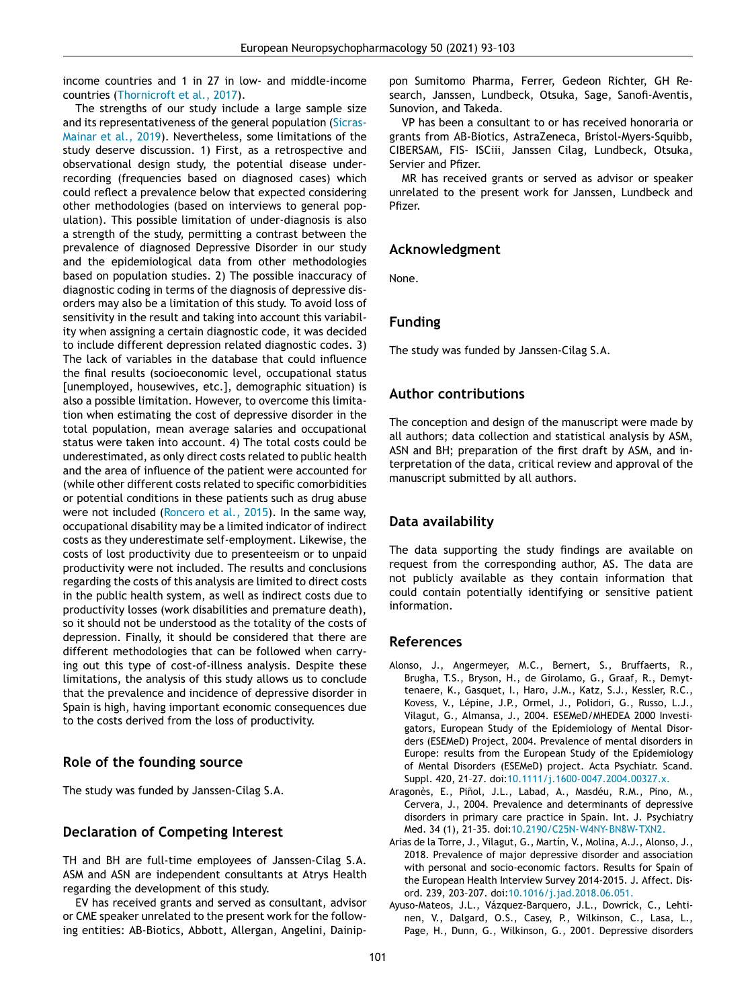<span id="page-8-0"></span>income countries and 1 in 27 in low- and middle-income countries [\(Thornicroft](#page-10-0) et al., 2017).

The strengths of our study include a large sample size and its [representativeness](#page-10-0) of the general population (Sicras-Mainar et al., 2019). Nevertheless, some limitations of the study deserve discussion. 1) First, as a retrospective and observational design study, the potential disease underrecording (frequencies based on diagnosed cases) which could reflect a prevalence below that expected considering other methodologies (based on interviews to general population). This possible limitation of under-diagnosis is also a strength of the study, permitting a contrast between the prevalence of diagnosed Depressive Disorder in our study and the epidemiological data from other methodologies based on population studies. 2) The possible inaccuracy of diagnostic coding in terms of the diagnosis of depressive disorders may also be a limitation of this study. To avoid loss of sensitivity in the result and taking into account this variability when assigning a certain diagnostic code, it was decided to include different depression related diagnostic codes. 3) The lack of variables in the database that could influence the final results (socioeconomic level, occupational status [unemployed, housewives, etc.], demographic situation) is also a possible limitation. However, to overcome this limitation when estimating the cost of depressive disorder in the total population, mean average salaries and occupational status were taken into account. 4) The total costs could be underestimated, as only direct costs related to public health and the area of influence of the patient were accounted for (while other different costs related to specific comorbidities or potential conditions in these patients such as drug abuse were not included [\(Roncero](#page-10-0) et al., 2015). In the same way, occupational disability may be a limited indicator of indirect costs as they underestimate self-employment. Likewise, the costs of lost productivity due to presenteeism or to unpaid productivity were not included. The results and conclusions regarding the costs of this analysis are limited to direct costs in the public health system, as well as indirect costs due to productivity losses (work disabilities and premature death), so it should not be understood as the totality of the costs of depression. Finally, it should be considered that there are different methodologies that can be followed when carrying out this type of cost-of-illness analysis. Despite these limitations, the analysis of this study allows us to conclude that the prevalence and incidence of depressive disorder in Spain is high, having important economic consequences due to the costs derived from the loss of productivity.

# **Role of the founding source**

The study was funded by Janssen-Cilag S.A.

# **Declaration of Competing Interest**

TH and BH are full-time employees of Janssen-Cilag S.A. ASM and ASN are independent consultants at Atrys Health regarding the development of this study.

EV has received grants and served as consultant, advisor or CME speaker unrelated to the present work for the following entities: AB-Biotics, Abbott, Allergan, Angelini, Dainippon Sumitomo Pharma, Ferrer, Gedeon Richter, GH Research, Janssen, Lundbeck, Otsuka, Sage, Sanofi-Aventis, Sunovion, and Takeda.

VP has been a consultant to or has received honoraria or grants from AB-Biotics, AstraZeneca, Bristol-Myers-Squibb, CIBERSAM, FIS- ISCiii, Janssen Cilag, Lundbeck, Otsuka, Servier and Pfizer.

MR has received grants or served as advisor or speaker unrelated to the present work for Janssen, Lundbeck and Pfizer.

# **Acknowledgment**

None.

# **Funding**

The study was funded by Janssen-Cilag S.A.

### **Author contributions**

The conception and design of the manuscript were made by all authors; data collection and statistical analysis by ASM, ASN and BH; preparation of the first draft by ASM, and interpretation of the data, critical review and approval of the manuscript submitted by all authors.

# **Data availability**

The data supporting the study findings are available on request from the corresponding author, AS. The data are not publicly available as they contain information that could contain potentially identifying or sensitive patient information.

#### **References**

- Alonso, J., Angermeyer, M.C., Bernert, S., Bruffaerts, R., Brugha, T.S., Bryson, H., de Girolamo, G., Graaf, R., Demyttenaere, K., Gasquet, I., Haro, J.M., Katz, S.J., Kessler, R.C., Kovess, V., Lépine, J.P., Ormel, J., Polidori, G., Russo, L.J., Vilagut, G., Almansa, J., 2004. ESEMeD/MHEDEA 2000 Investigators, European Study of the Epidemiology of Mental Disorders (ESEMeD) Project, 2004. Prevalence of mental disorders in Europe: results from the European Study of the Epidemiology of Mental Disorders (ESEMeD) project. Acta Psychiatr. Scand. Suppl. 420, 21–27. doi[:10.1111/j.1600-0047.2004.00327.x.](https://doi.org/10.1111/j.1600-0047.2004.00327.x)
- Aragonès, E., Piñol, J.L., Labad, A., Masdéu, R.M., Pino, M., Cervera, J., 2004. Prevalence and determinants of depressive disorders in primary care practice in Spain. Int. J. Psychiatry Med. 34 (1), 21–35. doi[:10.2190/C25N-W4NY-BN8W-TXN2.](https://doi.org/10.2190/C25N-W4NY-BN8W-TXN2)
- Arias de la Torre, J., Vilagut, G., Martín, V., Molina, A.J., Alonso, J., 2018. Prevalence of major depressive disorder and association with personal and socio-economic factors. Results for Spain of the European Health Interview Survey 2014-2015. J. Affect. Disord. 239, 203–207. doi[:10.1016/j.jad.2018.06.051.](https://doi.org/10.1016/j.jad.2018.06.051)
- Ayuso-Mateos, J.L., Vázquez-Barquero, J.L., Dowrick, C., Lehtinen, V., Dalgard, O.S., Casey, P., Wilkinson, C., Lasa, L., Page, H., Dunn, G., Wilkinson, G., 2001. Depressive disorders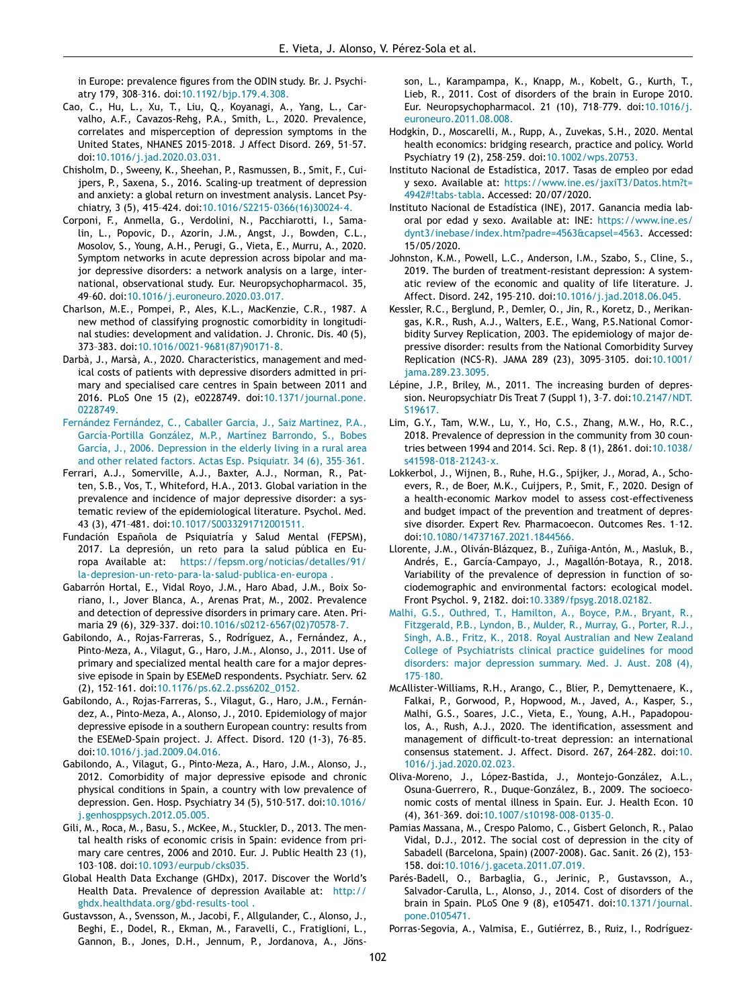<span id="page-9-0"></span>in Europe: prevalence figures from the ODIN study. Br. J. Psychiatry 179, 308–316. doi[:10.1192/bjp.179.4.308.](https://doi.org/10.1192/bjp.179.4.308)

- Cao, C., Hu, L., Xu, T., Liu, Q., Koyanagi, A., Yang, L., Carvalho, A.F., Cavazos-Rehg, P.A., Smith, L., 2020. Prevalence, correlates and misperception of depression symptoms in the United States, NHANES 2015–2018. J Affect Disord. 269, 51–57. doi[:10.1016/j.jad.2020.03.031.](https://doi.org/10.1016/j.jad.2020.03.031)
- Chisholm, D., Sweeny, K., Sheehan, P., Rasmussen, B., Smit, F., Cuijpers, P., Saxena, S., 2016. Scaling-up treatment of depression and anxiety: a global return on investment analysis. Lancet Psychiatry, 3 (5), 415–424. doi[:10.1016/S2215-0366\(16\)30024-4.](https://doi.org/10.1016/S2215-0366(16)30024-4)
- Corponi, F., Anmella, G., Verdolini, N., Pacchiarotti, I., Samalin, L., Popovic, D., Azorin, J.M., Angst, J., Bowden, C.L., Mosolov, S., Young, A.H., Perugi, G., Vieta, E., Murru, A., 2020. Symptom networks in acute depression across bipolar and major depressive disorders: a network analysis on a large, international, observational study. Eur. Neuropsychopharmacol. 35, 49–60. doi[:10.1016/j.euroneuro.2020.03.017.](https://doi.org/10.1016/j.euroneuro.2020.03.017)
- Charlson, M.E., Pompei, P., Ales, K.L., MacKenzie, C.R., 1987. A new method of classifying prognostic comorbidity in longitudinal studies: development and validation. J. Chronic. Dis. 40 (5), 373–383. doi[:10.1016/0021-9681\(87\)90171-8.](https://doi.org/10.1016/0021-9681(87)90171-8)
- Darbà, J., Marsà, A., 2020. Characteristics, management and medical costs of patients with depressive disorders admitted in primary and specialised care centres in Spain between 2011 and 2016. PLoS One 15 (2), e0228749. [doi:10.1371/journal.pone.](https://doi.org/10.1371/journal.pone.0228749) 0228749.
- Fernández [Fernández,](http://refhub.elsevier.com/S0924-977X(21)00218-2/sbref0009) C., [Caballer](http://refhub.elsevier.com/S0924-977X(21)00218-2/sbref0009) Garcia, J., Saiz [Martinez,](http://refhub.elsevier.com/S0924-977X(21)00218-2/sbref0009) P.A., [García-Portilla](http://refhub.elsevier.com/S0924-977X(21)00218-2/sbref0009) González, M.P., Martínez [Barrondo,](http://refhub.elsevier.com/S0924-977X(21)00218-2/sbref0009) S., Bobes García, J., 2006. [Depression](http://refhub.elsevier.com/S0924-977X(21)00218-2/sbref0009) in the elderly living in a rural area and other related factors. Actas Esp. Psiquiatr. 34 (6), 355–361.
- Ferrari, A.J., Somerville, A.J., Baxter, A.J., Norman, R., Patten, S.B., Vos, T., Whiteford, H.A., 2013. Global variation in the prevalence and incidence of major depressive disorder: a systematic review of the epidemiological literature. Psychol. Med. 43 (3), 471–481. doi[:10.1017/S0033291712001511.](https://doi.org/10.1017/S0033291712001511)
- Fundación Española de Psiquiatría y Salud Mental (FEPSM), 2017. La depresión, un reto para la salud pública en Europa Available at: https://fepsm.org/noticias/detalles/91/ [la-depresion-un-reto-para-la-salud-publica-en-europa](https://fepsm.org/noticias/detalles/91/la-depresion-un-reto-para-la-salud-publica-en-europa) .
- Gabarrón Hortal, E., Vidal Royo, J.M., Haro Abad, J.M., Boix Soriano, I., Jover Blanca, A., Arenas Prat, M., 2002. Prevalence and detection of depressive disorders in primary care. Aten. Primaria 29 (6), 329–337. doi[:10.1016/s0212-6567\(02\)70578-7.](https://doi.org/10.1016/s0212-6567(02)70578-7)
- Gabilondo, A., Rojas-Farreras, S., Rodríguez, A., Fernández, A., Pinto-Meza, A., Vilagut, G., Haro, J.M., Alonso, J., 2011. Use of primary and specialized mental health care for a major depressive episode in Spain by ESEMeD respondents. Psychiatr. Serv. 62 (2), 152–161. doi[:10.1176/ps.62.2.pss6202\\_0152.](https://doi.org/10.1176/ps.62.2.pss6202_0152)
- Gabilondo, A., Rojas-Farreras, S., Vilagut, G., Haro, J.M., Fernández, A., Pinto-Meza, A., Alonso, J., 2010. Epidemiology of major depressive episode in a southern European country: results from the ESEMeD-Spain project. J. Affect. Disord. 120 (1-3), 76–85. doi[:10.1016/j.jad.2009.04.016.](https://doi.org/10.1016/j.jad.2009.04.016)
- Gabilondo, A., Vilagut, G., Pinto-Meza, A., Haro, J.M., Alonso, J., 2012. Comorbidity of major depressive episode and chronic physical conditions in Spain, a country with low prevalence of depression. Gen. Hosp. Psychiatry 34 (5), 510–517. doi:10.1016/ [j.genhosppsych.2012.05.005.](https://doi.org/10.1016/j.genhosppsych.2012.05.005)
- Gili, M., Roca, M., Basu, S., McKee, M., Stuckler, D., 2013. The mental health risks of economic crisis in Spain: evidence from primary care centres, 2006 and 2010. Eur. J. Public Health 23 (1), 103–108. doi[:10.1093/eurpub/cks035.](https://doi.org/10.1093/eurpub/cks035)
- Global Health Data Exchange (GHDx), 2017. Discover the World's Health Data. Prevalence of depression Available at: http:// [ghdx.healthdata.org/gbd-results-tool](http://ghdx.healthdata.org/gbd-results-tool) .
- Gustavsson, A., Svensson, M., Jacobi, F., Allgulander, C., Alonso, J., Beghi, E., Dodel, R., Ekman, M., Faravelli, C., Fratiglioni, L., Gannon, B., Jones, D.H., Jennum, P., Jordanova, A., Jöns-

son, L., Karampampa, K., Knapp, M., Kobelt, G., Kurth, T., Lieb, R., 2011. Cost of disorders of the brain in Europe 2010. Eur. Neuropsychopharmacol. 21 (10), 718–779. doi:10.1016/j. [euroneuro.2011.08.008.](https://doi.org/10.1016/j.euroneuro.2011.08.008)

- Hodgkin, D., Moscarelli, M., Rupp, A., Zuvekas, S.H., 2020. Mental health economics: bridging research, practice and policy. World Psychiatry 19 (2), 258–259. doi[:10.1002/wps.20753.](https://doi.org/10.1002/wps.20753)
- Instituto Nacional de Estadística, 2017. Tasas de empleo por edad y sexo. Available at: [https://www.ine.es/jaxiT3/Datos.htm?t=](https://www.ine.es/jaxiT3/Datos.htm?t=4942#!tabs-tabla) 4942#!tabs-tabla. Accessed: 20/07/2020.
- Instituto Nacional de Estadística (INE), 2017. Ganancia media laboral por edad y sexo. Available at: INE: https://www.ine.es/ [dynt3/inebase/index.htm?padre=4563&capsel=4563.](https://www.ine.es/dynt3/inebase/index.htm?padre=4563&capsel=4563) Accessed: 15/05/2020.
- Johnston, K.M., Powell, L.C., Anderson, I.M., Szabo, S., Cline, S., 2019. The burden of treatment-resistant depression: A systematic review of the economic and quality of life literature. J. Affect. Disord. 242, 195–210. doi[:10.1016/j.jad.2018.06.045.](https://doi.org/10.1016/j.jad.2018.06.045)
- Kessler, R.C., Berglund, P., Demler, O., Jin, R., Koretz, D., Merikangas, K.R., Rush, A.J., Walters, E.E., Wang, P.S.National Comorbidity Survey Replication, 2003. The epidemiology of major depressive disorder: results from the National Comorbidity Survey Replication (NCS-R). JAMA 289 (23), 3095–3105. doi:10.1001/ [jama.289.23.3095.](https://doi.org/10.1001/jama.289.23.3095)
- Lépine, J.P., Briley, M., 2011. The increasing burden of depression. Neuropsychiatr Dis Treat 7 (Suppl 1), 3–7. [doi:10.2147/NDT.](https://doi.org/10.2147/NDT.S19617) S19617.
- Lim, G.Y., Tam, W.W., Lu, Y., Ho, C.S., Zhang, M.W., Ho, R.C., 2018. Prevalence of depression in the community from 30 countries between 1994 and 2014. Sci. Rep. 8 (1), 2861. doi:10.1038/ [s41598-018-21243-x.](https://doi.org/10.1038/s41598-018-21243-x)
- Lokkerbol, J., Wijnen, B., Ruhe, H.G., Spijker, J., Morad, A., Schoevers, R., de Boer, M.K., Cuijpers, P., Smit, F., 2020. Design of a health-economic Markov model to assess cost-effectiveness and budget impact of the prevention and treatment of depressive disorder. Expert Rev. Pharmacoecon. Outcomes Res. 1–12. doi[:10.1080/14737167.2021.1844566.](https://doi.org/10.1080/14737167.2021.1844566)
- Llorente, J.M., Oliván-Blázquez, B., Zuñiga-Antón, M., Masluk, B., Andrés, E., García-Campayo, J., Magallón-Botaya, R., 2018. Variability of the prevalence of depression in function of sociodemographic and environmental factors: ecological model. Front Psychol. 9, 2182. doi[:10.3389/fpsyg.2018.02182.](https://doi.org/10.3389/fpsyg.2018.02182)
- [Malhi,](http://refhub.elsevier.com/S0924-977X(21)00218-2/sbref0029) G.S., [Outhred,](http://refhub.elsevier.com/S0924-977X(21)00218-2/sbref0029) T., [Hamilton,](http://refhub.elsevier.com/S0924-977X(21)00218-2/sbref0029) A., [Boyce,](http://refhub.elsevier.com/S0924-977X(21)00218-2/sbref0029) P.M., [Bryant,](http://refhub.elsevier.com/S0924-977X(21)00218-2/sbref0029) R., [Fitzgerald,](http://refhub.elsevier.com/S0924-977X(21)00218-2/sbref0029) P.B., [Lyndon,](http://refhub.elsevier.com/S0924-977X(21)00218-2/sbref0029) B., [Mulder,](http://refhub.elsevier.com/S0924-977X(21)00218-2/sbref0029) R., [Murray,](http://refhub.elsevier.com/S0924-977X(21)00218-2/sbref0029) G., [Porter,](http://refhub.elsevier.com/S0924-977X(21)00218-2/sbref0029) R.J., [Singh,](http://refhub.elsevier.com/S0924-977X(21)00218-2/sbref0029) A.B., [Fritz,](http://refhub.elsevier.com/S0924-977X(21)00218-2/sbref0029) K., 2018. Royal Australian and New Zealand College of [Psychiatrists](http://refhub.elsevier.com/S0924-977X(21)00218-2/sbref0029) clinical practice guidelines for mood disorders: major depression summary. Med. J. Aust. 208 (4), 175–180.
- McAllister-Williams, R.H., Arango, C., Blier, P., Demyttenaere, K., Falkai, P., Gorwood, P., Hopwood, M., Javed, A., Kasper, S., Malhi, G.S., Soares, J.C., Vieta, E., Young, A.H., Papadopoulos, A., Rush, A.J., 2020. The identification, assessment and management of difficult-to-treat depression: an international consensus statement. J. Affect. Disord. 267, 264–282. doi:10. [1016/j.jad.2020.02.023.](https://doi.org/10.1016/j.jad.2020.02.023)
- Oliva-Moreno, J., López-Bastida, J., Montejo-González, A.L., Osuna-Guerrero, R., Duque-González, B., 2009. The socioeconomic costs of mental illness in Spain. Eur. J. Health Econ. 10 (4), 361–369. doi[:10.1007/s10198-008-0135-0.](https://doi.org/10.1007/s10198-008-0135-0)
- Pamias Massana, M., Crespo Palomo, C., Gisbert Gelonch, R., Palao Vidal, D.J., 2012. The social cost of depression in the city of Sabadell (Barcelona, Spain) (2007-2008). Gac. Sanit. 26 (2), 153– 158. doi[:10.1016/j.gaceta.2011.07.019.](https://doi.org/10.1016/j.gaceta.2011.07.019)
- Parés-Badell, O., Barbaglia, G., Jerinic, P., Gustavsson, A., Salvador-Carulla, L., Alonso, J., 2014. Cost of disorders of the brain in Spain. PLoS One 9 (8), e105471. [doi:10.1371/journal.](https://doi.org/10.1371/journal.pone.0105471) pone.0105471.

Porras-Segovia, A., Valmisa, E., Gutiérrez, B., Ruiz, I., Rodríguez-